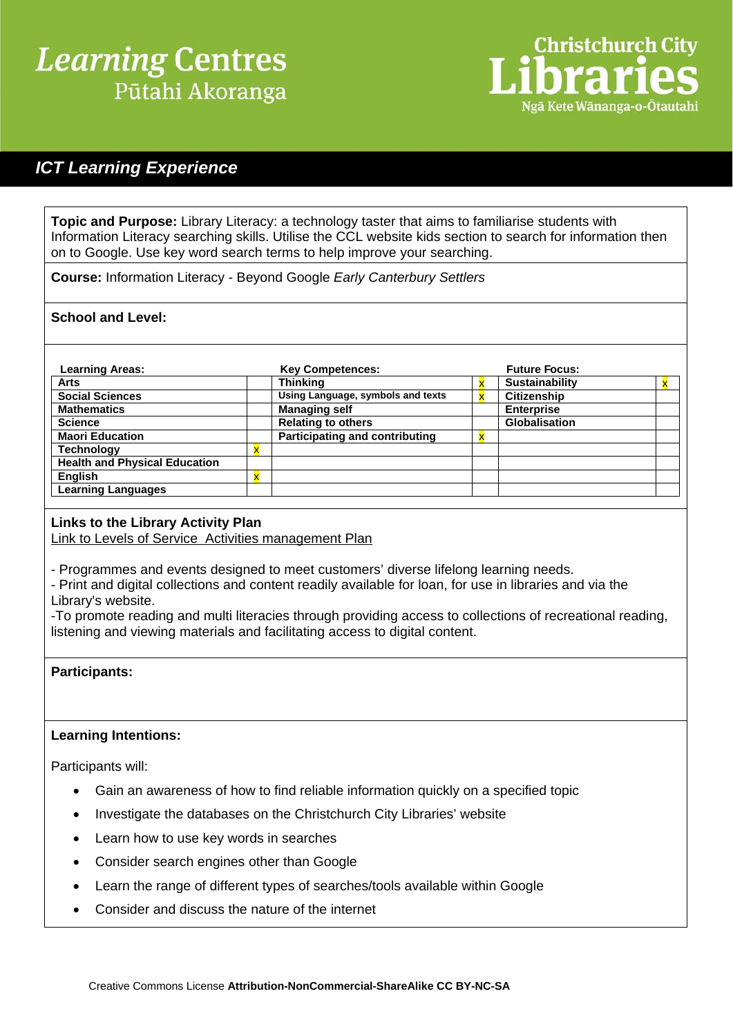# **Learning Centres** Pūtahi Akoranga



## *ICT Learning Experience*

**Topic and Purpose:** Library Literacy: a technology taster that aims to familiarise students with Information Literacy searching skills. Utilise the CCL website kids section to search for information then on to Google. Use key word search terms to help improve your searching.

**Course:** Information Literacy - Beyond Google *Early Canterbury Settlers*

#### **School and Level:**

| <b>Learning Areas:</b>               |   | <b>Key Competences:</b>               | <b>Future Focus:</b>  |  |
|--------------------------------------|---|---------------------------------------|-----------------------|--|
| <b>Arts</b>                          |   | <b>Thinking</b>                       | <b>Sustainability</b> |  |
| <b>Social Sciences</b>               |   | Using Language, symbols and texts     | Citizenship           |  |
| <b>Mathematics</b>                   |   | <b>Managing self</b>                  | <b>Enterprise</b>     |  |
| <b>Science</b>                       |   | <b>Relating to others</b>             | Globalisation         |  |
| <b>Maori Education</b>               |   | <b>Participating and contributing</b> |                       |  |
| <b>Technology</b>                    |   |                                       |                       |  |
| <b>Health and Physical Education</b> |   |                                       |                       |  |
| <b>English</b>                       | x |                                       |                       |  |
| <b>Learning Languages</b>            |   |                                       |                       |  |

#### **Links to the Library Activity Plan**

Link to Levels of Service Activities management Plan

- Programmes and events designed to meet customers' diverse lifelong learning needs.

- Print and digital collections and content readily available for loan, for use in libraries and via the Library's website.

-To promote reading and multi literacies through providing access to collections of recreational reading, listening and viewing materials and facilitating access to digital content.

#### **Participants:**

#### **Learning Intentions:**

Participants will:

- Gain an awareness of how to find reliable information quickly on a specified topic
- Investigate the databases on the Christchurch City Libraries' website
- Learn how to use key words in searches
- Consider search engines other than Google
- Learn the range of different types of searches/tools available within Google
- Consider and discuss the nature of the internet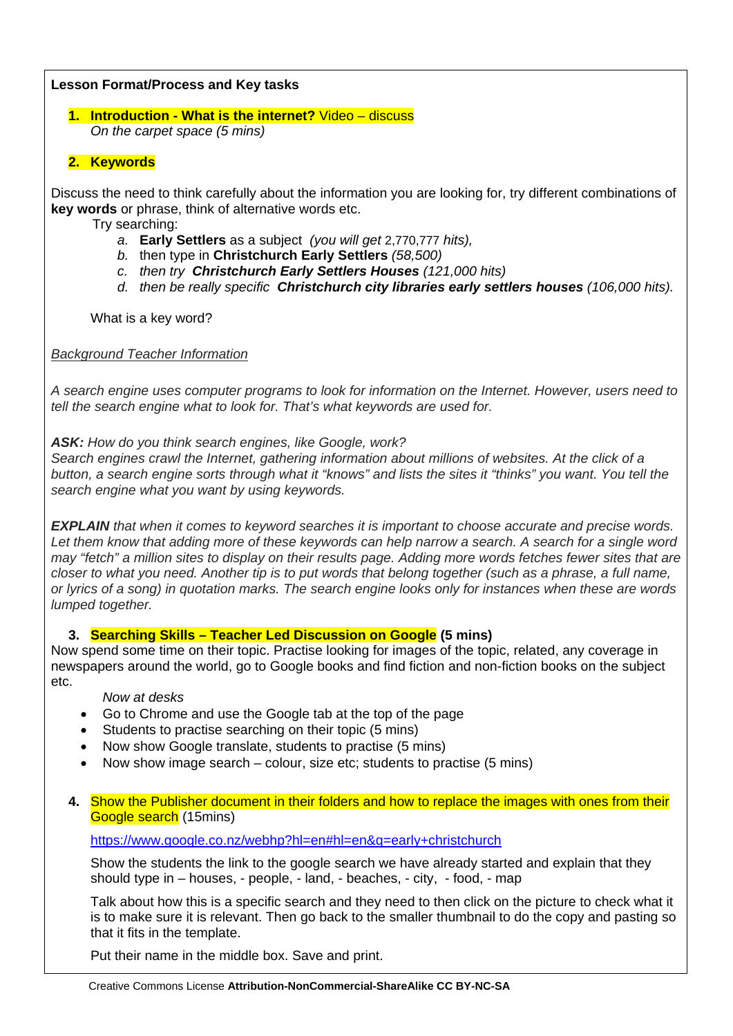#### **Lesson Format/Process and Key tasks**

## **1. Introduction - What is the internet?** Video – discuss

*On the carpet space (5 mins)* 

## **2. Keywords**

Discuss the need to think carefully about the information you are looking for, try different combinations of **key words** or phrase, think of alternative words etc.

Try searching:

- *a.* **Early Settlers** as a subject *(you will get* 2,770,777 *hits),*
- *b.* then type in **Christchurch Early Settlers** *(58,500)*
- *c. then try Christchurch Early Settlers Houses (121,000 hits)*
- *d. then be really specific Christchurch city libraries early settlers houses (106,000 hits).*

What is a key word?

## *Background Teacher Information*

*A search engine uses computer programs to look for information on the Internet. However, users need to tell the search engine what to look for. That's what keywords are used for.* 

## *ASK: How do you think search engines, like Google, work?*

*Search engines crawl the Internet, gathering information about millions of websites. At the click of a button, a search engine sorts through what it "knows" and lists the sites it "thinks" you want. You tell the search engine what you want by using keywords.* 

*EXPLAIN that when it comes to keyword searches it is important to choose accurate and precise words.*  Let them know that adding more of these keywords can help narrow a search. A search for a single word *may "fetch" a million sites to display on their results page. Adding more words fetches fewer sites that are closer to what you need. Another tip is to put words that belong together (such as a phrase, a full name, or lyrics of a song) in quotation marks. The search engine looks only for instances when these are words lumped together.* 

## **3. Searching Skills – Teacher Led Discussion on Google (5 mins)**

Now spend some time on their topic. Practise looking for images of the topic, related, any coverage in newspapers around the world, go to Google books and find fiction and non-fiction books on the subject etc.

### *Now at desks*

- Go to Chrome and use the Google tab at the top of the page
- Students to practise searching on their topic (5 mins)
- Now show Google translate, students to practise (5 mins)
- Now show image search colour, size etc; students to practise (5 mins)

### **4.** Show the Publisher document in their folders and how to replace the images with ones from their Google search (15mins)

## https://www.google.co.nz/webhp?hl=en#hl=en&q=early+christchurch

Show the students the link to the google search we have already started and explain that they should type in – houses, - people, - land, - beaches, - city, - food, - map

Talk about how this is a specific search and they need to then click on the picture to check what it is to make sure it is relevant. Then go back to the smaller thumbnail to do the copy and pasting so that it fits in the template.

Put their name in the middle box. Save and print.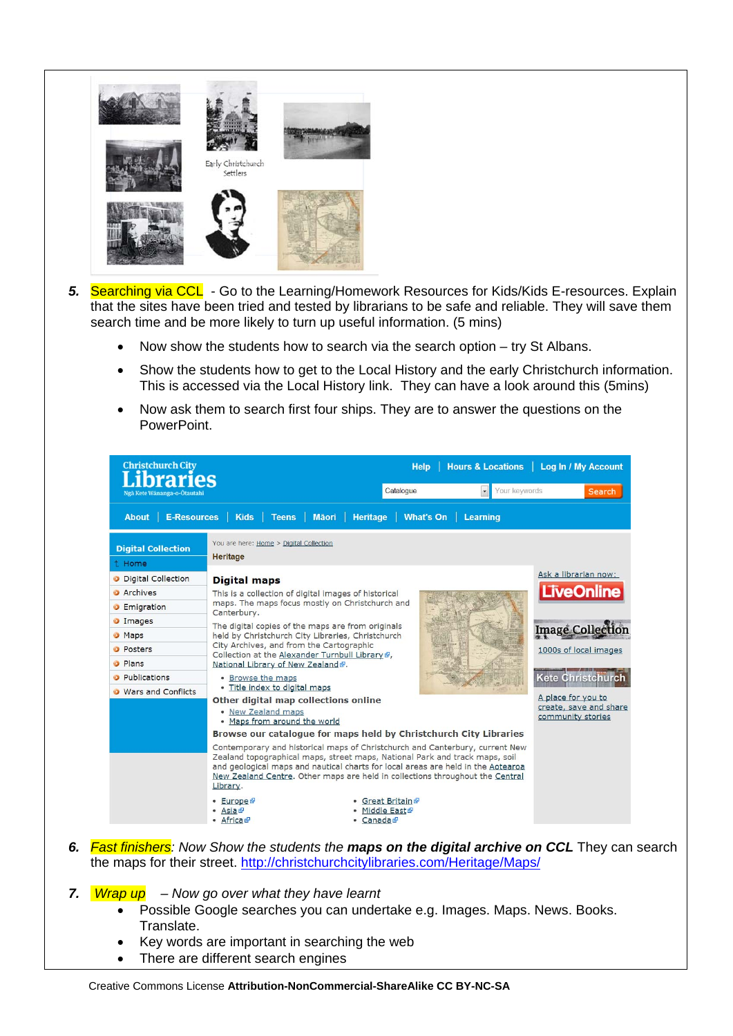

- *5.* Searching via CCL Go to the Learning/Homework Resources for Kids/Kids E-resources. Explain that the sites have been tried and tested by librarians to be safe and reliable. They will save them search time and be more likely to turn up useful information. (5 mins)
	- Now show the students how to search via the search option try St Albans.
	- Show the students how to get to the Local History and the early Christchurch information. This is accessed via the Local History link. They can have a look around this (5mins)
	- Now ask them to search first four ships. They are to answer the questions on the PowerPoint.



- *6. Fast finishers: Now Show the students the maps on the digital archive on CCL* They can search the maps for their street. http://christchurchcitylibraries.com/Heritage/Maps/
- *7. Wrap up Now go over what they have learnt* 
	- Possible Google searches you can undertake e.g. Images. Maps. News. Books. Translate.
	- Key words are important in searching the web
	- There are different search engines

Creative Commons License **Attribution-NonCommercial-ShareAlike CC BY-NC-SA**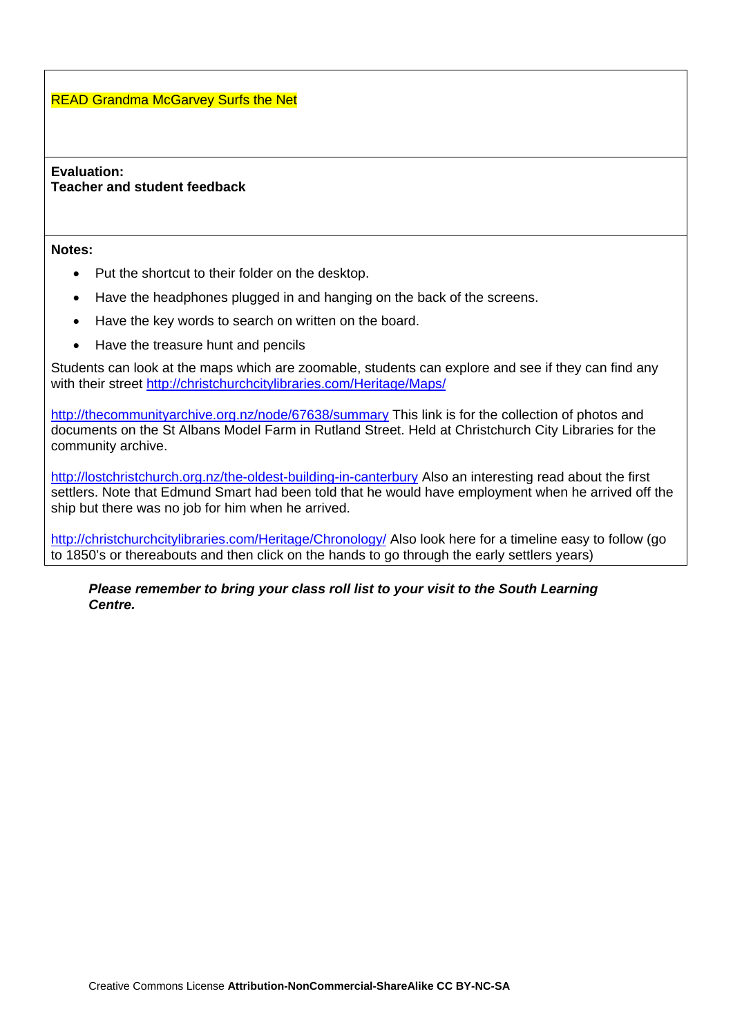#### **READ Grandma McGarvey Surfs the Net**

**Evaluation: Teacher and student feedback** 

#### **Notes:**

- Put the shortcut to their folder on the desktop.
- Have the headphones plugged in and hanging on the back of the screens.
- Have the key words to search on written on the board.
- Have the treasure hunt and pencils

Students can look at the maps which are zoomable, students can explore and see if they can find any with their street http://christchurchcitylibraries.com/Heritage/Maps/

http://thecommunityarchive.org.nz/node/67638/summary This link is for the collection of photos and documents on the St Albans Model Farm in Rutland Street. Held at Christchurch City Libraries for the community archive.

http://lostchristchurch.org.nz/the-oldest-building-in-canterbury Also an interesting read about the first settlers. Note that Edmund Smart had been told that he would have employment when he arrived off the ship but there was no job for him when he arrived.

http://christchurchcitylibraries.com/Heritage/Chronology/ Also look here for a timeline easy to follow (go to 1850's or thereabouts and then click on the hands to go through the early settlers years)

#### *Please remember to bring your class roll list to your visit to the South Learning Centre.*